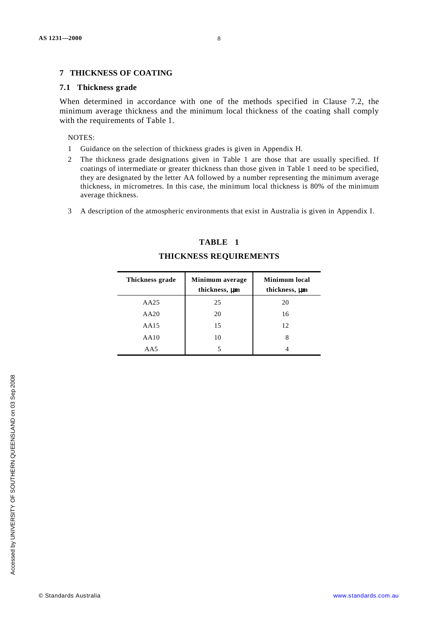### **7 THICKNESS OF COATING**

#### **7.1 Thickness grade**

When determined in accordance with one of the methods specified in Clause 7.2, the minimum average thickness and the minimum local thickness of the coating shall comply with the requirements of Table 1.

NOTES:

- 1 Guidance on the selection of thickness grades is given in Appendix H.
- 2 The thickness grade designations given in Table 1 are those that are usually specified. If coatings of intermediate or greater thickness than those given in Table 1 need to be specified, they are designated by the letter AA followed by a number representing the minimum average thickness, in micrometres. In this case, the minimum local thickness is 80% of the minimum average thickness.
- 3 A description of the atmospheric environments that exist in Australia is given in Appendix I.

# **TABLE 1**

| Thickness grade | Minimum average<br>thickness, µm | <b>Minimum</b> local<br>thickness, µm |
|-----------------|----------------------------------|---------------------------------------|
| AA25            | 25                               | 20                                    |
| AA20            | 20                               | 16                                    |
| AA15            | 15                               | 12                                    |
| AA10            | 10                               | 8                                     |
| AA5             |                                  |                                       |

## **THICKNESS REQUIREMENTS**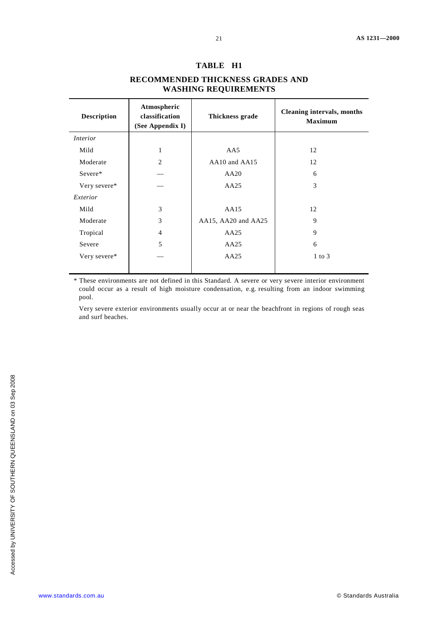#### **TABLE H1**

# **RECOMMENDED THICKNESS GRADES AND WASHING REQUIREMENTS**

| <b>Description</b> | Atmospheric<br>classification<br>(See Appendix I) | Thickness grade     | <b>Cleaning intervals, months</b><br><b>Maximum</b> |
|--------------------|---------------------------------------------------|---------------------|-----------------------------------------------------|
| <i>Interior</i>    |                                                   |                     |                                                     |
| Mild               | 1                                                 | AA5                 | 12                                                  |
| Moderate           | $\overline{2}$                                    | AA10 and AA15       | 12                                                  |
| Severe*            |                                                   | AA20                | 6                                                   |
| Very severe*       |                                                   | AA25                | 3                                                   |
| Exterior           |                                                   |                     |                                                     |
| Mild               | 3                                                 | AA15                | 12                                                  |
| Moderate           | 3                                                 | AA15, AA20 and AA25 | 9                                                   |
| Tropical           | $\overline{4}$                                    | AA25                | 9                                                   |
| Severe             | 5                                                 | AA25                | 6                                                   |
| Very severe*       |                                                   | AA25                | $1$ to $3$                                          |
|                    |                                                   |                     |                                                     |

\* These environments are not defined in this Standard. A severe or very severe interior environment could occur as a result of high moisture condensation, e.g. resulting from an indoor swimming pool.

Very severe exterior environments usually occur at or near the beachfront in regions of rough seas and surf beaches.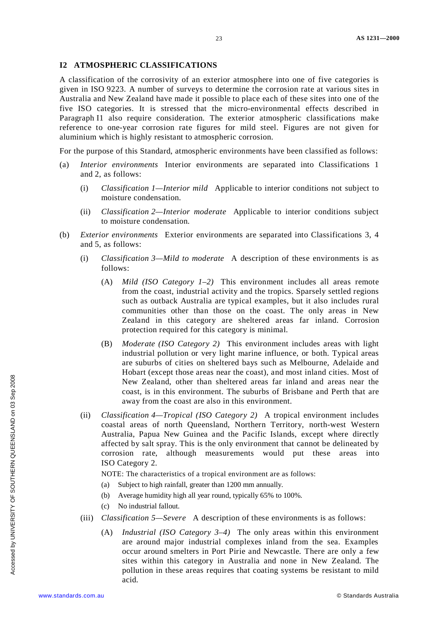### **I2 ATMOSPHERIC CLASSIFICATIONS**

A classification of the corrosivity of an exterior atmosphere into one of five categories is given in ISO 9223. A number of surveys to determine the corrosion rate at various sites in Australia and New Zealand have made it possible to place each of these sites into one of the five ISO categories. It is stressed that the micro-environmental effects described in Paragraph I1 also require consideration. The exterior atmospheric classifications make reference to one-year corrosion rate figures for mild steel. Figures are not given for aluminium which is highly resistant to atmospheric corrosion.

For the purpose of this Standard, atmospheric environments have been classified as follows:

- (a) *Interior environments* Interior environments are separated into Classifications 1 and 2, as follows:
	- (i) *Classification 1—Interior mild* Applicable to interior conditions not subject to moisture condensation.
	- (ii) *Classification 2—Interior moderate* Applicable to interior conditions subject to moisture condensation.
- (b) *Exterior environments* Exterior environments are separated into Classifications 3, 4 and 5, as follows:
	- (i) *Classification 3—Mild to moderate* A description of these environments is as follows:
		- (A) *Mild (ISO Category 1–2)* This environment includes all areas remote from the coast, industrial activity and the tropics. Sparsely settled regions such as outback Australia are typical examples, but it also includes rural communities other than those on the coast. The only areas in New Zealand in this category are sheltered areas far inland. Corrosion protection required for this category is minimal.
		- (B) *Moderate (ISO Category 2)* This environment includes areas with light industrial pollution or very light marine influence, or both. Typical areas are suburbs of cities on sheltered bays such as Melbourne, Adelaide and Hobart (except those areas near the coast), and most inland cities. Most of New Zealand, other than sheltered areas far inland and areas near the coast, is in this environment. The suburbs of Brisbane and Perth that are away from the coast are also in this environment.
	- (ii) *Classification 4—Tropical (ISO Category 2)* A tropical environment includes coastal areas of north Queensland, Northern Territory, north-west Western Australia, Papua New Guinea and the Pacific Islands, except where directly affected by salt spray. This is the only environment that cannot be delineated by corrosion rate, although measurements would put these areas into ISO Category 2.

NOTE: The characteristics of a tropical environment are as follows:

- (a) Subject to high rainfall, greater than 1200 mm annually.
- (b) Average humidity high all year round, typically 65% to 100%.
- (c) No industrial fallout.
- (iii) *Classification 5—Severe* A description of these environments is as follows:
	- (A) *Industrial (ISO Category 3–4)* The only areas within this environment are around major industrial complexes inland from the sea. Examples occur around smelters in Port Pirie and Newcastle. There are only a few sites within this category in Australia and none in New Zealand. The pollution in these areas requires that coating systems be resistant to mild acid.